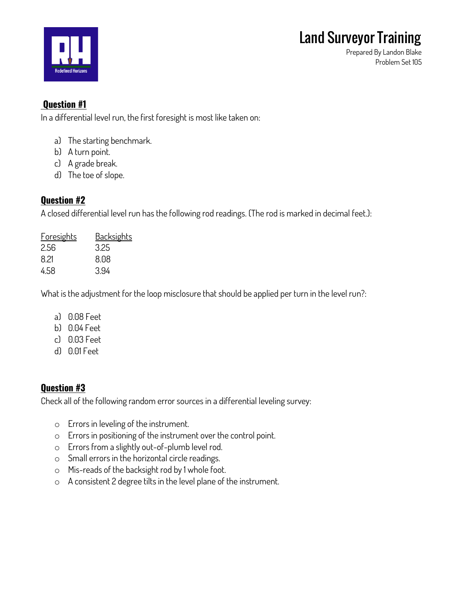

**Prepared By Landon Blake Problem Set 105**

## **Question #1**

**In a differential level run, the first foresight is most like taken on:**

- **a) The starting benchmark.**
- **b) A turn point.**
- **c) A grade break.**
- **d) The toe of slope.**

## **Question #2**

**A closed differential level run has the following rod readings. (The rod is marked in decimal feet.):**

| <b>Foresights</b> | <b>Backsights</b> |
|-------------------|-------------------|
| 2.56              | 3.25              |
| 8.21              | 8.08              |
| 458               | 3.94              |

**What is the adjustment for the loop misclosure that should be applied per turn in the level run?:**

- **a) 0.08 Feet**
- **b) 0.04 Feet**
- **c) 0.03 Feet**
- **d) 0.01 Feet**

## **Question #3**

**Check all of the following random error sources in a differential leveling survey:**

- o **Errors in leveling of the instrument.**
- o **Errors in positioning of the instrument over the control point.**
- o **Errors from a slightly out-of-plumb level rod.**
- o **Small errors in the horizontal circle readings.**
- o **Mis-reads of the backsight rod by 1 whole foot.**
- o **A consistent 2 degree tilts in the level plane of the instrument.**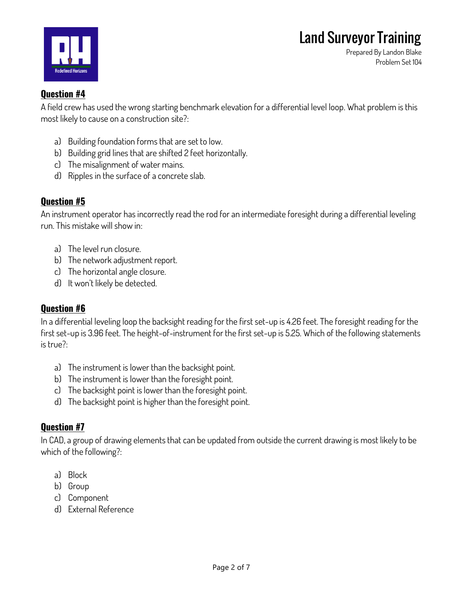

**Prepared By Landon Blake Problem Set 104**

### **Question #4**

**A field crew has used the wrong starting benchmark elevation for a differential level loop. What problem is this most likely to cause on a construction site?:**

- **a) Building foundation forms that are set to low.**
- **b) Building grid lines that are shifted 2 feet horizontally.**
- **c) The misalignment of water mains.**
- **d) Ripples in the surface of a concrete slab.**

## **Question #5**

**An instrument operator has incorrectly read the rod for an intermediate foresight during a differential leveling run. This mistake will show in:**

- **a) The level run closure.**
- **b) The network adjustment report.**
- **c) The horizontal angle closure.**
- **d) It won't likely be detected.**

## **Question #6**

**In a differential leveling loop the backsight reading for the first set-up is 4.26 feet. The foresight reading for the first set-up is 3.96 feet. The height-of-instrument for the first set-up is 5.25. Which of the following statements is true?:**

- **a) The instrument is lower than the backsight point.**
- **b) The instrument is lower than the foresight point.**
- **c) The backsight point is lower than the foresight point.**
- **d) The backsight point is higher than the foresight point.**

## **Question #7**

**In CAD, a group of drawing elements that can be updated from outside the current drawing is most likely to be which of the following?:**

- **a) Block**
- **b) Group**
- **c) Component**
- **d) External Reference**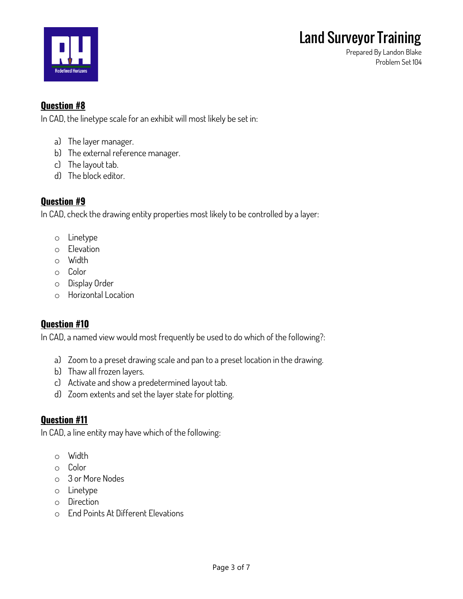

**Prepared By Landon Blake Problem Set 104**

## **Question #8**

**In CAD, the linetype scale for an exhibit will most likely be set in:**

- **a) The layer manager.**
- **b) The external reference manager.**
- **c) The layout tab.**
- **d) The block editor.**

### **Question #9**

**In CAD, check the drawing entity properties most likely to be controlled by a layer:**

- o **Linetype**
- o **Elevation**
- o **Width**
- o **Color**
- o **Display Order**
- o **Horizontal Location**

#### **Question #10**

**In CAD, a named view would most frequently be used to do which of the following?:**

- **a) Zoom to a preset drawing scale and pan to a preset location in the drawing.**
- **b) Thaw all frozen layers.**
- **c) Activate and show a predetermined layout tab.**
- **d) Zoom extents and set the layer state for plotting.**

#### **Question #11**

**In CAD, a line entity may have which of the following:**

- o **Width**
- o **Color**
- o **3 or More Nodes**
- o **Linetype**
- o **Direction**
- o **End Points At Different Elevations**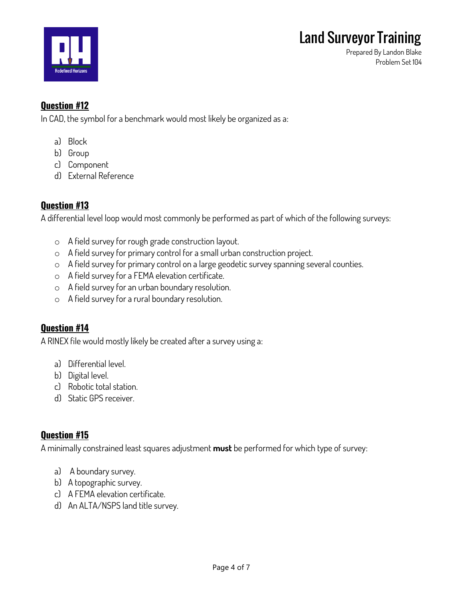

**Prepared By Landon Blake Problem Set 104**

## **Question #12**

**In CAD, the symbol for a benchmark would most likely be organized as a:**

- **a) Block**
- **b) Group**
- **c) Component**
- **d) External Reference**

## **Question #13**

**A differential level loop would most commonly be performed as part of which of the following surveys:**

- o **A field survey for rough grade construction layout.**
- o **A field survey for primary control for a small urban construction project.**
- o **A field survey for primary control on a large geodetic survey spanning several counties.**
- o **A field survey for a FEMA elevation certificate.**
- o **A field survey for an urban boundary resolution.**
- o **A field survey for a rural boundary resolution.**

## **Question #14**

**A RINEX file would mostly likely be created after a survey using a:**

- **a) Differential level.**
- **b) Digital level.**
- **c) Robotic total station.**
- **d) Static GPS receiver.**

#### **Question #15**

**A minimally constrained least squares adjustment must be performed for which type of survey:**

- **a) A boundary survey.**
- **b) A topographic survey.**
- **c) A FEMA elevation certificate.**
- **d) An ALTA/NSPS land title survey.**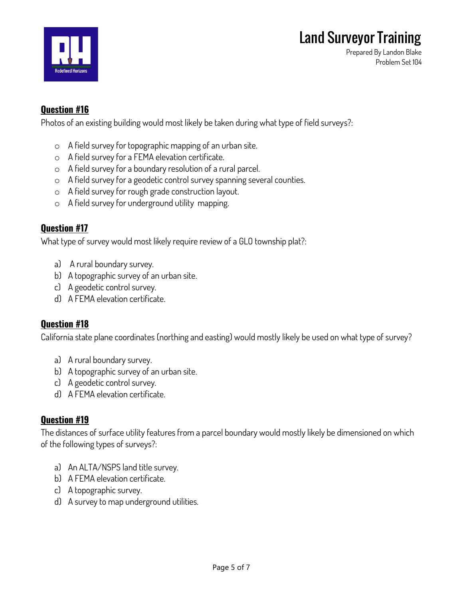



**Prepared By Landon Blake Problem Set 104**

## **Question #16**

**Photos of an existing building would most likely be taken during what type of field surveys?:**

- o **A field survey for topographic mapping of an urban site.**
- o **A field survey for a FEMA elevation certificate.**
- o **A field survey for a boundary resolution of a rural parcel.**
- o **A field survey for a geodetic control survey spanning several counties.**
- o **A field survey for rough grade construction layout.**
- o **A field survey for underground utility mapping.**

#### **Question #17**

**What type of survey would most likely require review of a GLO township plat?:**

- **a) A rural boundary survey.**
- **b) A topographic survey of an urban site.**
- **c) A geodetic control survey.**
- **d) A FEMA elevation certificate.**

#### **Question #18**

**California state plane coordinates (northing and easting) would mostly likely be used on what type of survey?**

- **a) A rural boundary survey.**
- **b) A topographic survey of an urban site.**
- **c) A geodetic control survey.**
- **d) A FEMA elevation certificate.**

#### **Question #19**

**The distances of surface utility features from a parcel boundary would mostly likely be dimensioned on which of the following types of surveys?:**

- **a) An ALTA/NSPS land title survey.**
- **b) A FEMA elevation certificate.**
- **c) A topographic survey.**
- **d) A survey to map underground utilities.**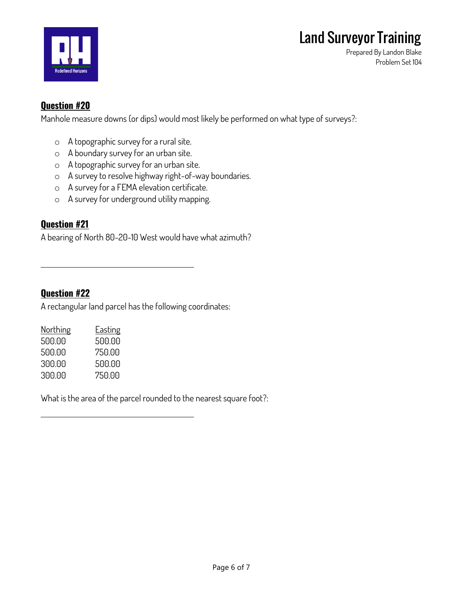



**Prepared By Landon Blake Problem Set 104**

### **Question #20**

**Manhole measure downs (or dips) would most likely be performed on what type of surveys?:**

- o **A topographic survey for a rural site.**
- o **A boundary survey for an urban site.**
- o **A topographic survey for an urban site.**
- o **A survey to resolve highway right-of-way boundaries.**
- o **A survey for a FEMA elevation certificate.**
- o **A survey for underground utility mapping.**

#### **Question #21**

**A bearing of North 80-20-10 West would have what azimuth?**

**Question #22**

**A rectangular land parcel has the following coordinates:**

| Northing | <u>Easting</u> |
|----------|----------------|
| 500.00   | 500.00         |
| 500.00   | 750.00         |
| 300.00   | 500.00         |
| 300.00   | 750.00         |

**What is the area of the parcel rounded to the nearest square foot?:**